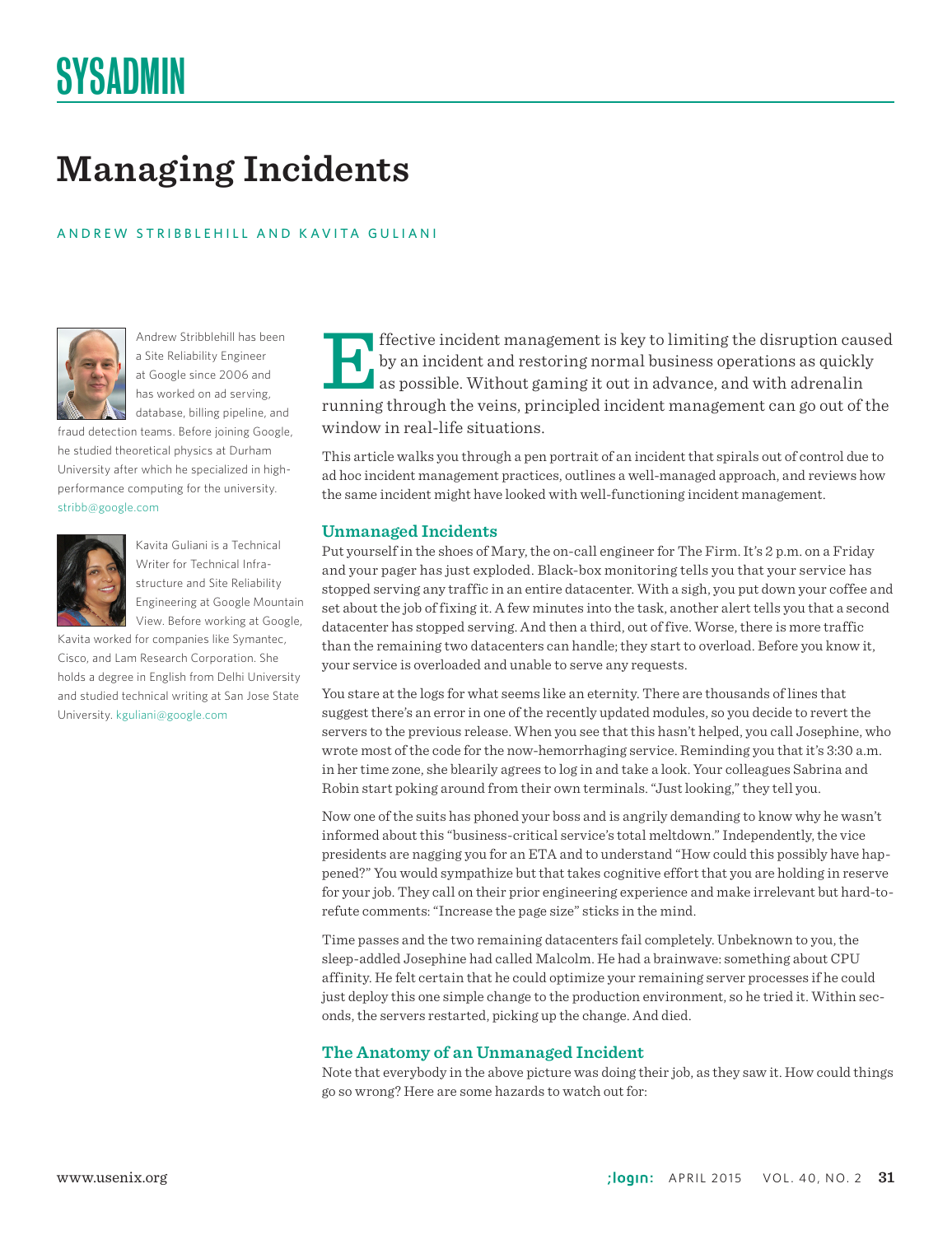# SYSADMIN

# **Managing Incidents**

### ANDREW STRIBBLEHILL AND K AVITA GULIANI



Andrew Stribblehill has been a Site Reliability Engineer at Google since 2006 and has worked on ad serving, database, billing pipeline, and

fraud detection teams. Before joining Google, he studied theoretical physics at Durham University after which he specialized in highperformance computing for the university. stribb@google.com



Kavita Guliani is a Technical Writer for Technical Infrastructure and Site Reliability Engineering at Google Mountain View. Before working at Google,

Kavita worked for companies like Symantec, Cisco, and Lam Research Corporation. She holds a degree in English from Delhi University and studied technical writing at San Jose State University. kguliani@google.com

Effective incident management is key to limiting the disruption caused<br>by an incident and restoring normal business operations as quickly<br>as possible. Without gaming it out in advance, and with adrenal<br>in<br>running through t by an incident and restoring normal business operations as quickly as possible. Without gaming it out in advance, and with adrenalin running through the veins, principled incident management can go out of the window in real-life situations.

This article walks you through a pen portrait of an incident that spirals out of control due to ad hoc incident management practices, outlines a well-managed approach, and reviews how the same incident might have looked with well-functioning incident management.

# **Unmanaged Incidents**

Put yourself in the shoes of Mary, the on-call engineer for The Firm. It's 2 p.m. on a Friday and your pager has just exploded. Black-box monitoring tells you that your service has stopped serving any traffic in an entire datacenter. With a sigh, you put down your coffee and set about the job of fixing it. A few minutes into the task, another alert tells you that a second datacenter has stopped serving. And then a third, out of five. Worse, there is more traffic than the remaining two datacenters can handle; they start to overload. Before you know it, your service is overloaded and unable to serve any requests.

You stare at the logs for what seems like an eternity. There are thousands of lines that suggest there's an error in one of the recently updated modules, so you decide to revert the servers to the previous release. When you see that this hasn't helped, you call Josephine, who wrote most of the code for the now-hemorrhaging service. Reminding you that it's 3:30 a.m. in her time zone, she blearily agrees to log in and take a look. Your colleagues Sabrina and Robin start poking around from their own terminals. "Just looking," they tell you.

Now one of the suits has phoned your boss and is angrily demanding to know why he wasn't informed about this "business-critical service's total meltdown." Independently, the vice presidents are nagging you for an ETA and to understand "How could this possibly have happened?" You would sympathize but that takes cognitive effort that you are holding in reserve for your job. They call on their prior engineering experience and make irrelevant but hard-torefute comments: "Increase the page size" sticks in the mind.

Time passes and the two remaining datacenters fail completely. Unbeknown to you, the sleep-addled Josephine had called Malcolm. He had a brainwave: something about CPU affinity. He felt certain that he could optimize your remaining server processes if he could just deploy this one simple change to the production environment, so he tried it. Within seconds, the servers restarted, picking up the change. And died.

#### **The Anatomy of an Unmanaged Incident**

Note that everybody in the above picture was doing their job, as they saw it. How could things go so wrong? Here are some hazards to watch out for: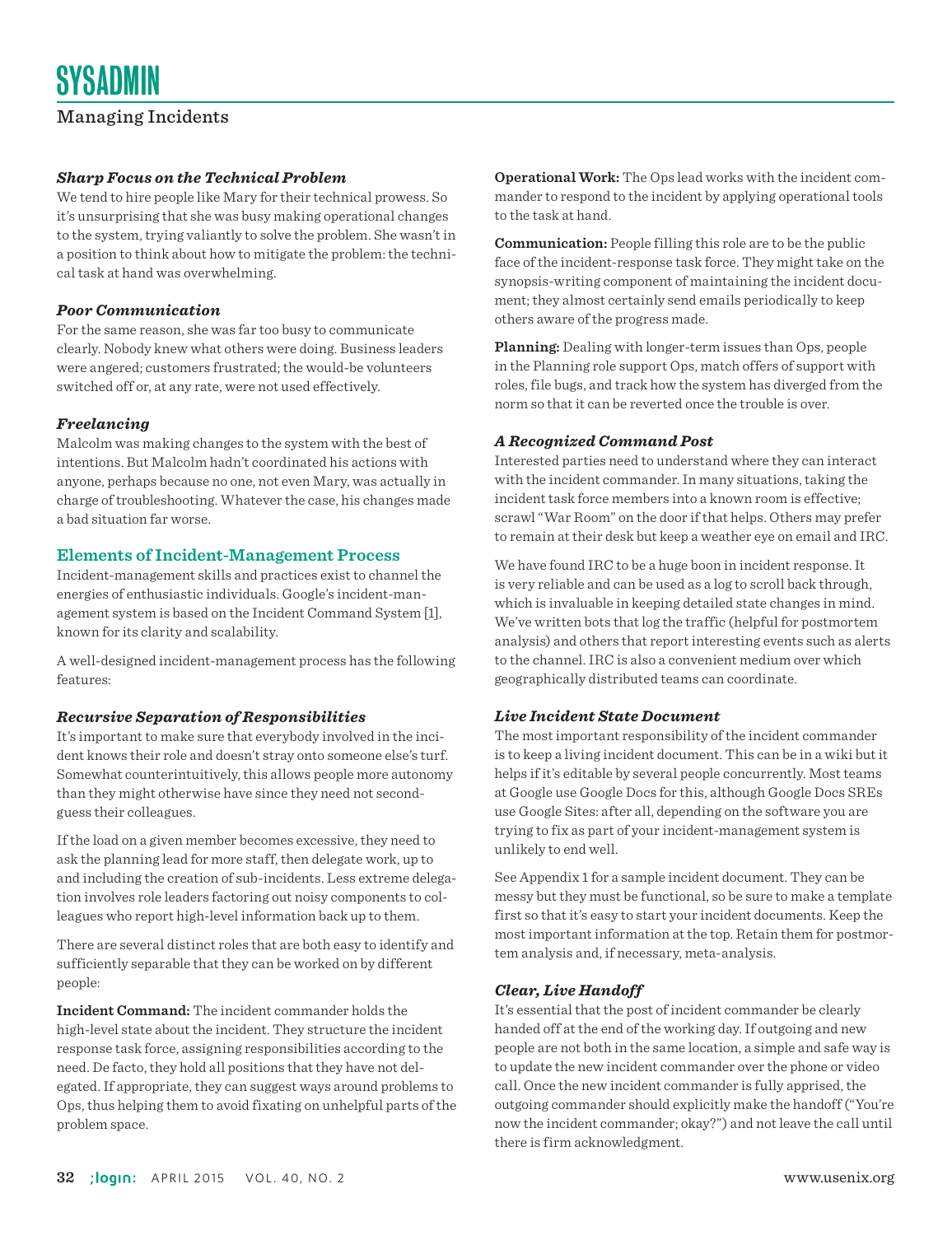# *Sharp Focus on the Technical Problem*

We tend to hire people like Mary for their technical prowess. So it's unsurprising that she was busy making operational changes to the system, trying valiantly to solve the problem. She wasn't in a position to think about how to mitigate the problem: the technical task at hand was overwhelming.

#### *Poor Communication*

For the same reason, she was far too busy to communicate clearly. Nobody knew what others were doing. Business leaders were angered; customers frustrated; the would-be volunteers switched off or, at any rate, were not used effectively.

#### *Freelancing*

Malcolm was making changes to the system with the best of intentions. But Malcolm hadn't coordinated his actions with anyone, perhaps because no one, not even Mary, was actually in charge of troubleshooting. Whatever the case, his changes made a bad situation far worse.

#### **Elements of Incident-Management Process**

Incident-management skills and practices exist to channel the energies of enthusiastic individuals. Google's incident-management system is based on the Incident Command System [1], known for its clarity and scalability.

A well-designed incident-management process has the following features:

#### *Recursive Separation of Responsibilities*

It's important to make sure that everybody involved in the incident knows their role and doesn't stray onto someone else's turf. Somewhat counterintuitively, this allows people more autonomy than they might otherwise have since they need not secondguess their colleagues.

If the load on a given member becomes excessive, they need to ask the planning lead for more staff, then delegate work, up to and including the creation of sub-incidents. Less extreme delegation involves role leaders factoring out noisy components to colleagues who report high-level information back up to them.

There are several distinct roles that are both easy to identify and sufficiently separable that they can be worked on by different people:

**Incident Command:** The incident commander holds the high-level state about the incident. They structure the incident response task force, assigning responsibilities according to the need. De facto, they hold all positions that they have not delegated. If appropriate, they can suggest ways around problems to Ops, thus helping them to avoid fixating on unhelpful parts of the problem space.

**Operational Work:** The Ops lead works with the incident commander to respond to the incident by applying operational tools to the task at hand.

**Communication:** People filling this role are to be the public face of the incident-response task force. They might take on the synopsis-writing component of maintaining the incident document; they almost certainly send emails periodically to keep others aware of the progress made.

**Planning:** Dealing with longer-term issues than Ops, people in the Planning role support Ops, match offers of support with roles, file bugs, and track how the system has diverged from the norm so that it can be reverted once the trouble is over.

#### *A Recognized Command Post*

Interested parties need to understand where they can interact with the incident commander. In many situations, taking the incident task force members into a known room is effective; scrawl "War Room" on the door if that helps. Others may prefer to remain at their desk but keep a weather eye on email and IRC.

We have found IRC to be a huge boon in incident response. It is very reliable and can be used as a log to scroll back through, which is invaluable in keeping detailed state changes in mind. We've written bots that log the traffic (helpful for postmortem analysis) and others that report interesting events such as alerts to the channel. IRC is also a convenient medium over which geographically distributed teams can coordinate.

#### *Live Incident State Document*

The most important responsibility of the incident commander is to keep a living incident document. This can be in a wiki but it helps if it's editable by several people concurrently. Most teams at Google use Google Docs for this, although Google Docs SREs use Google Sites: after all, depending on the software you are trying to fix as part of your incident-management system is unlikely to end well.

See Appendix 1 for a sample incident document. They can be messy but they must be functional, so be sure to make a template first so that it's easy to start your incident documents. Keep the most important information at the top. Retain them for postmortem analysis and, if necessary, meta-analysis.

#### *Clear, Live Handoff*

It's essential that the post of incident commander be clearly handed off at the end of the working day. If outgoing and new people are not both in the same location, a simple and safe way is to update the new incident commander over the phone or video call. Once the new incident commander is fully apprised, the outgoing commander should explicitly make the handoff ("You're now the incident commander; okay?") and not leave the call until there is firm acknowledgment.